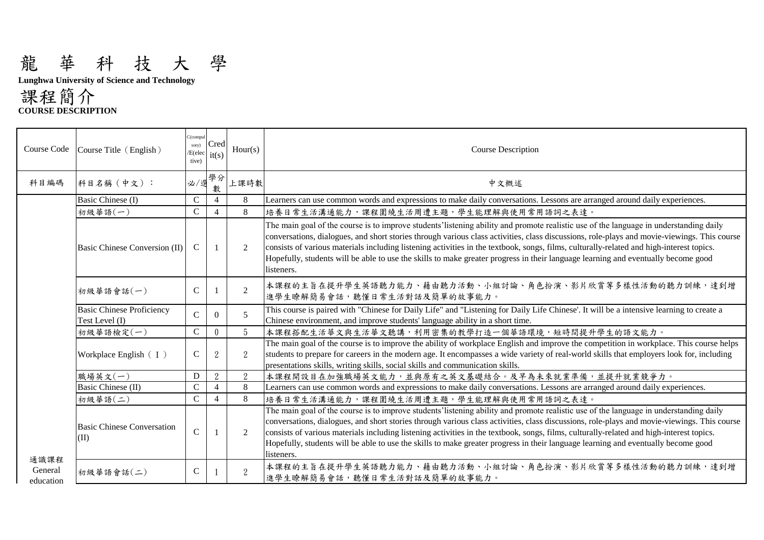## 龍 華 科 技 大 學

**Lunghwa University of Science and Technology** 

課程簡介 **COURSE DESCRIPTION**

| C(compul<br>Cred<br>sory)<br>Hour(s)<br>Course Code<br>Course Title (English)<br><b>Course Description</b><br>/E(elec<br>it(s)<br>tive)<br>學分<br>上課時數<br>科目名稱(中文):<br>必/<br>科目編碼<br>中文概述<br>數<br>Basic Chinese (I)<br>$\mathsf{C}$<br>$\overline{4}$<br>8<br>Learners can use common words and expressions to make daily conversations. Lessons are arranged around daily experiences.<br>$\mathsf{C}$<br>8<br>初級華語(一)<br>培養日常生活溝通能力,課程圍繞生活周遭主題,學生能理解與使用常用語詞之表達。<br>$\overline{4}$<br>The main goal of the course is to improve students' listening ability and promote realistic use of the language in understanding daily<br>conversations, dialogues, and short stories through various class activities, class discussions, role-plays and movie-viewings. This course<br>$\mathsf{C}$<br>consists of various materials including listening activities in the textbook, songs, films, culturally-related and high-interest topics.<br>Basic Chinese Conversion (II)<br>2<br>$\mathbf{1}$<br>Hopefully, students will be able to use the skills to make greater progress in their language learning and eventually become good<br>listeners.<br>本課程的主旨在提升學生英語聽力能力、藉由聽力活動、小組討論、角色扮演、影片欣賞等多樣性活動的聽力訓練,達到增<br>$\overline{2}$<br>$\mathsf{C}$<br>初級華語會話(一)<br>進學生瞭解簡易會話,聽懂日常生活對話及簡單的故事能力。<br><b>Basic Chinese Proficiency</b><br>This course is paired with "Chinese for Daily Life" and "Listening for Daily Life Chinese'. It will be a intensive learning to create a<br>$\mathbf C$<br>5<br>$\Omega$<br>Chinese environment, and improve students' language ability in a short time.<br>Test Level (I)<br>$\mathbf C$<br>5<br>$\mathbf{0}$<br>初級華語檢定(一)<br>本課程搭配生活華文與生活華文聽講,利用密集的教學打造一個華語環境,短時間提升學生的語文能力。<br>The main goal of the course is to improve the ability of workplace English and improve the competition in workplace. This course helps<br>$\mathsf{C}$<br>$\overline{2}$<br>$\overline{2}$<br>students to prepare for careers in the modern age. It encompasses a wide variety of real-world skills that employers look for, including<br>Workplace English $(1)$<br>presentations skills, writing skills, social skills and communication skills.<br>$\overline{2}$<br>$\overline{2}$<br>職場英文(一)<br>D<br>本課程開設目在加強職場英文能力,並與原有之英文基礎結合。及早為未來就業準備,並提升就業競爭力。<br>$\mathcal{C}$<br>8<br>Basic Chinese (II)<br>Learners can use common words and expressions to make daily conversations. Lessons are arranged around daily experiences.<br>$\overline{4}$<br>$\mathbf C$<br>8<br>培養日常生活溝通能力,課程圍繞生活周遭主題,學生能理解與使用常用語詞之表達。<br>初級華語(二)<br>$\overline{4}$<br>The main goal of the course is to improve students' listening ability and promote realistic use of the language in understanding daily<br>conversations, dialogues, and short stories through various class activities, class discussions, role-plays and movie-viewings. This course<br><b>Basic Chinese Conversation</b><br>$\mathsf{C}$<br>consists of various materials including listening activities in the textbook, songs, films, culturally-related and high-interest topics.<br>2<br>(II)<br>Hopefully, students will be able to use the skills to make greater progress in their language learning and eventually become good<br>listeners.<br>通識課程<br>本課程的主旨在提升學生英語聽力能力、藉由聽力活動、小組討論、角色扮演、影片欣賞等多樣性活動的聽力訓練,達到增<br>General<br>$\overline{2}$<br>$\mathsf{C}$<br>初級華語會話(二)<br>進學生瞭解簡易會話,聽懂日常生活對話及簡單的故事能力。<br>education |  |  |  |
|---------------------------------------------------------------------------------------------------------------------------------------------------------------------------------------------------------------------------------------------------------------------------------------------------------------------------------------------------------------------------------------------------------------------------------------------------------------------------------------------------------------------------------------------------------------------------------------------------------------------------------------------------------------------------------------------------------------------------------------------------------------------------------------------------------------------------------------------------------------------------------------------------------------------------------------------------------------------------------------------------------------------------------------------------------------------------------------------------------------------------------------------------------------------------------------------------------------------------------------------------------------------------------------------------------------------------------------------------------------------------------------------------------------------------------------------------------------------------------------------------------------------------------------------------------------------------------------------------------------------------------------------------------------------------------------------------------------------------------------------------------------------------------------------------------------------------------------------------------------------------------------------------------------------------------------------------------------------------------------------------------------------------------------------------------------------------------------------------------------------------------------------------------------------------------------------------------------------------------------------------------------------------------------------------------------------------------------------------------------------------------------------------------------------------------------------------------------------------------------------------------------------------------------------------------------------------------------------------------------------------------------------------------------------------------------------------------------------------------------------------------------------------------------------------------------------------------------------------------------------------------------------------------------------------------------------------------------------------------------------------------------------------------------------------------------------------------------------------------------------------------------------------------------------------------------------------------------------------------------------------------------------------------------------------------------------------------------------------------------------------------------------------|--|--|--|
|                                                                                                                                                                                                                                                                                                                                                                                                                                                                                                                                                                                                                                                                                                                                                                                                                                                                                                                                                                                                                                                                                                                                                                                                                                                                                                                                                                                                                                                                                                                                                                                                                                                                                                                                                                                                                                                                                                                                                                                                                                                                                                                                                                                                                                                                                                                                                                                                                                                                                                                                                                                                                                                                                                                                                                                                                                                                                                                                                                                                                                                                                                                                                                                                                                                                                                                                                                                                   |  |  |  |
|                                                                                                                                                                                                                                                                                                                                                                                                                                                                                                                                                                                                                                                                                                                                                                                                                                                                                                                                                                                                                                                                                                                                                                                                                                                                                                                                                                                                                                                                                                                                                                                                                                                                                                                                                                                                                                                                                                                                                                                                                                                                                                                                                                                                                                                                                                                                                                                                                                                                                                                                                                                                                                                                                                                                                                                                                                                                                                                                                                                                                                                                                                                                                                                                                                                                                                                                                                                                   |  |  |  |
|                                                                                                                                                                                                                                                                                                                                                                                                                                                                                                                                                                                                                                                                                                                                                                                                                                                                                                                                                                                                                                                                                                                                                                                                                                                                                                                                                                                                                                                                                                                                                                                                                                                                                                                                                                                                                                                                                                                                                                                                                                                                                                                                                                                                                                                                                                                                                                                                                                                                                                                                                                                                                                                                                                                                                                                                                                                                                                                                                                                                                                                                                                                                                                                                                                                                                                                                                                                                   |  |  |  |
|                                                                                                                                                                                                                                                                                                                                                                                                                                                                                                                                                                                                                                                                                                                                                                                                                                                                                                                                                                                                                                                                                                                                                                                                                                                                                                                                                                                                                                                                                                                                                                                                                                                                                                                                                                                                                                                                                                                                                                                                                                                                                                                                                                                                                                                                                                                                                                                                                                                                                                                                                                                                                                                                                                                                                                                                                                                                                                                                                                                                                                                                                                                                                                                                                                                                                                                                                                                                   |  |  |  |
|                                                                                                                                                                                                                                                                                                                                                                                                                                                                                                                                                                                                                                                                                                                                                                                                                                                                                                                                                                                                                                                                                                                                                                                                                                                                                                                                                                                                                                                                                                                                                                                                                                                                                                                                                                                                                                                                                                                                                                                                                                                                                                                                                                                                                                                                                                                                                                                                                                                                                                                                                                                                                                                                                                                                                                                                                                                                                                                                                                                                                                                                                                                                                                                                                                                                                                                                                                                                   |  |  |  |
|                                                                                                                                                                                                                                                                                                                                                                                                                                                                                                                                                                                                                                                                                                                                                                                                                                                                                                                                                                                                                                                                                                                                                                                                                                                                                                                                                                                                                                                                                                                                                                                                                                                                                                                                                                                                                                                                                                                                                                                                                                                                                                                                                                                                                                                                                                                                                                                                                                                                                                                                                                                                                                                                                                                                                                                                                                                                                                                                                                                                                                                                                                                                                                                                                                                                                                                                                                                                   |  |  |  |
|                                                                                                                                                                                                                                                                                                                                                                                                                                                                                                                                                                                                                                                                                                                                                                                                                                                                                                                                                                                                                                                                                                                                                                                                                                                                                                                                                                                                                                                                                                                                                                                                                                                                                                                                                                                                                                                                                                                                                                                                                                                                                                                                                                                                                                                                                                                                                                                                                                                                                                                                                                                                                                                                                                                                                                                                                                                                                                                                                                                                                                                                                                                                                                                                                                                                                                                                                                                                   |  |  |  |
|                                                                                                                                                                                                                                                                                                                                                                                                                                                                                                                                                                                                                                                                                                                                                                                                                                                                                                                                                                                                                                                                                                                                                                                                                                                                                                                                                                                                                                                                                                                                                                                                                                                                                                                                                                                                                                                                                                                                                                                                                                                                                                                                                                                                                                                                                                                                                                                                                                                                                                                                                                                                                                                                                                                                                                                                                                                                                                                                                                                                                                                                                                                                                                                                                                                                                                                                                                                                   |  |  |  |
|                                                                                                                                                                                                                                                                                                                                                                                                                                                                                                                                                                                                                                                                                                                                                                                                                                                                                                                                                                                                                                                                                                                                                                                                                                                                                                                                                                                                                                                                                                                                                                                                                                                                                                                                                                                                                                                                                                                                                                                                                                                                                                                                                                                                                                                                                                                                                                                                                                                                                                                                                                                                                                                                                                                                                                                                                                                                                                                                                                                                                                                                                                                                                                                                                                                                                                                                                                                                   |  |  |  |
|                                                                                                                                                                                                                                                                                                                                                                                                                                                                                                                                                                                                                                                                                                                                                                                                                                                                                                                                                                                                                                                                                                                                                                                                                                                                                                                                                                                                                                                                                                                                                                                                                                                                                                                                                                                                                                                                                                                                                                                                                                                                                                                                                                                                                                                                                                                                                                                                                                                                                                                                                                                                                                                                                                                                                                                                                                                                                                                                                                                                                                                                                                                                                                                                                                                                                                                                                                                                   |  |  |  |
|                                                                                                                                                                                                                                                                                                                                                                                                                                                                                                                                                                                                                                                                                                                                                                                                                                                                                                                                                                                                                                                                                                                                                                                                                                                                                                                                                                                                                                                                                                                                                                                                                                                                                                                                                                                                                                                                                                                                                                                                                                                                                                                                                                                                                                                                                                                                                                                                                                                                                                                                                                                                                                                                                                                                                                                                                                                                                                                                                                                                                                                                                                                                                                                                                                                                                                                                                                                                   |  |  |  |
|                                                                                                                                                                                                                                                                                                                                                                                                                                                                                                                                                                                                                                                                                                                                                                                                                                                                                                                                                                                                                                                                                                                                                                                                                                                                                                                                                                                                                                                                                                                                                                                                                                                                                                                                                                                                                                                                                                                                                                                                                                                                                                                                                                                                                                                                                                                                                                                                                                                                                                                                                                                                                                                                                                                                                                                                                                                                                                                                                                                                                                                                                                                                                                                                                                                                                                                                                                                                   |  |  |  |
|                                                                                                                                                                                                                                                                                                                                                                                                                                                                                                                                                                                                                                                                                                                                                                                                                                                                                                                                                                                                                                                                                                                                                                                                                                                                                                                                                                                                                                                                                                                                                                                                                                                                                                                                                                                                                                                                                                                                                                                                                                                                                                                                                                                                                                                                                                                                                                                                                                                                                                                                                                                                                                                                                                                                                                                                                                                                                                                                                                                                                                                                                                                                                                                                                                                                                                                                                                                                   |  |  |  |
|                                                                                                                                                                                                                                                                                                                                                                                                                                                                                                                                                                                                                                                                                                                                                                                                                                                                                                                                                                                                                                                                                                                                                                                                                                                                                                                                                                                                                                                                                                                                                                                                                                                                                                                                                                                                                                                                                                                                                                                                                                                                                                                                                                                                                                                                                                                                                                                                                                                                                                                                                                                                                                                                                                                                                                                                                                                                                                                                                                                                                                                                                                                                                                                                                                                                                                                                                                                                   |  |  |  |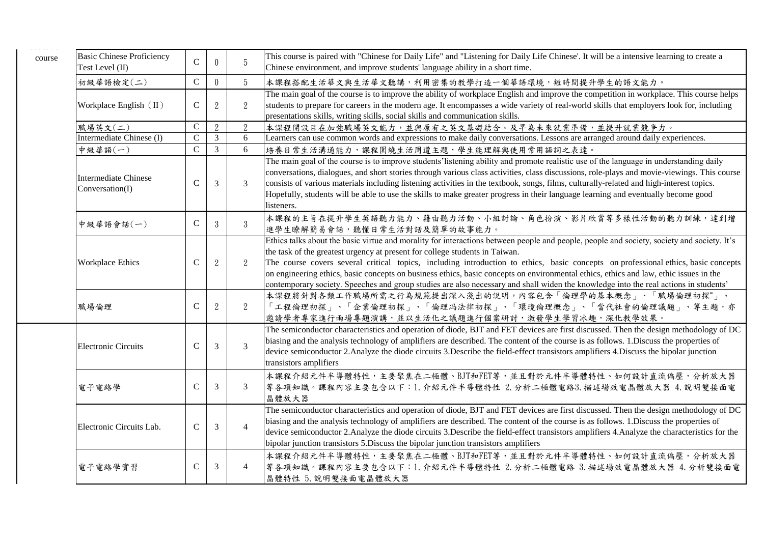| course | <b>Basic Chinese Proficiency</b><br>Test Level (II) | $\mathsf{C}$ | $\theta$       | 5               | This course is paired with "Chinese for Daily Life" and "Listening for Daily Life Chinese'. It will be a intensive learning to create a<br>Chinese environment, and improve students' language ability in a short time.                                                                                                                                                                                                                                                                                                                                                                                                                          |
|--------|-----------------------------------------------------|--------------|----------------|-----------------|--------------------------------------------------------------------------------------------------------------------------------------------------------------------------------------------------------------------------------------------------------------------------------------------------------------------------------------------------------------------------------------------------------------------------------------------------------------------------------------------------------------------------------------------------------------------------------------------------------------------------------------------------|
|        | 初級華語檢定(二)                                           | $\mathsf{C}$ | $\theta$       | $5\overline{)}$ | 本課程搭配生活華文與生活華文聽講,利用密集的教學打造一個華語環境,短時間提升學生的語文能力。                                                                                                                                                                                                                                                                                                                                                                                                                                                                                                                                                                                                   |
|        | Workplace English (II)                              | $\mathsf{C}$ | $\overline{2}$ | $\overline{2}$  | The main goal of the course is to improve the ability of workplace English and improve the competition in workplace. This course helps<br>students to prepare for careers in the modern age. It encompasses a wide variety of real-world skills that employers look for, including<br>presentations skills, writing skills, social skills and communication skills.                                                                                                                                                                                                                                                                              |
|        | 職場英文(二)                                             | $\mathbf C$  | 2              | $\overline{2}$  | 本課程開設目在加強職場英文能力,並與原有之英文基礎結合。及早為未來就業準備,並提升就業競爭力。                                                                                                                                                                                                                                                                                                                                                                                                                                                                                                                                                                                                  |
|        | Intermediate Chinese (I)                            | $\mathbf C$  | $\overline{3}$ | 6               | Learners can use common words and expressions to make daily conversations. Lessons are arranged around daily experiences.                                                                                                                                                                                                                                                                                                                                                                                                                                                                                                                        |
|        | 中級華語(一)                                             | $\mathsf{C}$ | $\mathfrak{Z}$ | 6               | 培養日常生活溝通能力,課程圍繞生活周遭主題,學生能理解與使用常用語詞之表達。                                                                                                                                                                                                                                                                                                                                                                                                                                                                                                                                                                                                           |
|        | <b>Intermediate Chinese</b><br>Conversation(I)      | $\mathbf C$  | 3              | 3               | The main goal of the course is to improve students' listening ability and promote realistic use of the language in understanding daily<br>conversations, dialogues, and short stories through various class activities, class discussions, role-plays and movie-viewings. This course<br>consists of various materials including listening activities in the textbook, songs, films, culturally-related and high-interest topics.<br>Hopefully, students will be able to use the skills to make greater progress in their language learning and eventually become good<br>listeners.                                                             |
|        | 中級華語會話(一)                                           | $\mathsf{C}$ | 3              | $\overline{3}$  | 本課程的主旨在提升學生英語聽力能力、藉由聽力活動、小組討論、角色扮演、影片欣賞等多樣性活動的聽力訓練,達到增<br>進學生瞭解簡易會話,聽懂日常生活對話及簡單的故事能力。                                                                                                                                                                                                                                                                                                                                                                                                                                                                                                                                                            |
|        | Workplace Ethics                                    | $\mathsf{C}$ | $\overline{2}$ | $\overline{2}$  | Ethics talks about the basic virtue and morality for interactions between people and people, people and society, society and society. It's<br>the task of the greatest urgency at present for college students in Taiwan.<br>The course covers several critical topics, including introduction to ethics, basic concepts on professional ethics, basic concepts<br>on engineering ethics, basic concepts on business ethics, basic concepts on environmental ethics, ethics and law, ethic issues in the<br>contemporary society. Speeches and group studies are also necessary and shall widen the knowledge into the real actions in students' |
|        | 職場倫理                                                | $\mathsf{C}$ | $\mathcal{L}$  | $\overline{2}$  | 本課程將針對各類工作職場所需之行為規範提出深入淺出的說明,內容包含「倫理學的基本概念」、「職場倫理初探"」、<br>「工程倫理初探」、「企業倫理初探」、「倫理冯法律初探」、「環境倫理概念」、「當代社會的倫理議題」、等主題,亦<br>邀請學者專家進行兩場專題演講,並以生活化之議題進行個案研討,激發學生學習冰趣,深化教學效果。                                                                                                                                                                                                                                                                                                                                                                                                                                                                               |
|        | <b>Electronic Circuits</b>                          | $\mathbf C$  | 3              | $\overline{3}$  | The semiconductor characteristics and operation of diode, BJT and FET devices are first discussed. Then the design methodology of DC<br>biasing and the analysis technology of amplifiers are described. The content of the course is as follows. 1.Discuss the properties of<br>device semiconductor 2.Analyze the diode circuits 3.Describe the field-effect transistors amplifiers 4.Discuss the bipolar junction<br>transistors amplifiers                                                                                                                                                                                                   |
|        | 電子電路學                                               | $\mathsf{C}$ | 3              | 3               | 本課程介紹元件半導體特性,主要聚焦在二極體、BJT和FET等,並且對於元件半導體特性、如何設計直流偏壓,分析放大器<br>等各項知識。課程內容主要包含以下:1.介紹元件半導體特性 2.分析二極體電路3.描述場效電晶體放大器 4.說明雙接面電<br>晶體放大器                                                                                                                                                                                                                                                                                                                                                                                                                                                                                                                |
|        | Electronic Circuits Lab.                            | $\mathsf{C}$ | 3              | $\overline{4}$  | The semiconductor characteristics and operation of diode, BJT and FET devices are first discussed. Then the design methodology of DC<br>biasing and the analysis technology of amplifiers are described. The content of the course is as follows. 1. Discuss the properties of<br>device semiconductor 2. Analyze the diode circuits 3. Describe the field-effect transistors amplifiers 4. Analyze the characteristics for the<br>bipolar junction transistors 5. Discuss the bipolar junction transistors amplifiers                                                                                                                           |
|        | 電子電路學實習                                             | ${\bf C}$    | 3              | $\overline{4}$  | 本課程介紹元件半導體特性,主要聚焦在二極體、BJT和FET等,並且對於元件半導體特性、如何設計直流偏壓,分析放大器<br>等各項知識。課程內容主要包含以下:1.介紹元件半導體特性 2.分析二極體電路 3.描述場效電晶體放大器 4.分析雙接面電<br>晶體特性 5. 說明雙接面電晶體放大器                                                                                                                                                                                                                                                                                                                                                                                                                                                                                                 |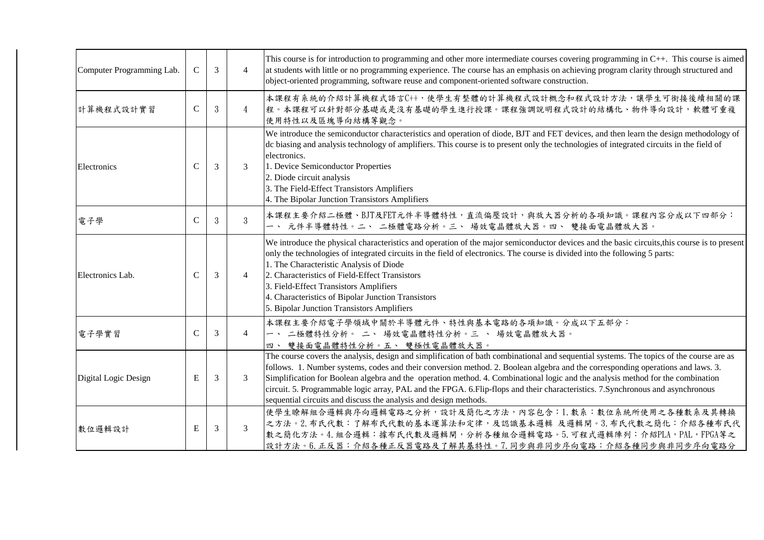| Computer Programming Lab. | $\mathsf{C}$  | 3 | $\overline{4}$ | This course is for introduction to programming and other more intermediate courses covering programming in C++. This course is aimed<br>at students with little or no programming experience. The course has an emphasis on achieving program clarity through structured and<br>object-oriented programming, software reuse and component-oriented software construction.                                                                                                                                                                                                                                             |
|---------------------------|---------------|---|----------------|-----------------------------------------------------------------------------------------------------------------------------------------------------------------------------------------------------------------------------------------------------------------------------------------------------------------------------------------------------------------------------------------------------------------------------------------------------------------------------------------------------------------------------------------------------------------------------------------------------------------------|
| 計算機程式設計實習                 | $\mathbf C$   | 3 | $\overline{4}$ | 本課程有系統的介紹計算機程式語言C++,使學生有整體的計算機程式設計概念和程式設計方法,讓學生可銜接後續相關的課<br>程。本課程可以針對部分基礎或是沒有基礎的學生進行授課。課程強調說明程式設計的結構化、物件導向設計,軟體可重複<br>使用特性以及區塊導向結構等觀念。                                                                                                                                                                                                                                                                                                                                                                                                                                                                                |
| Electronics               | $\mathcal{C}$ | 3 | 3              | We introduce the semiconductor characteristics and operation of diode, BJT and FET devices, and then learn the design methodology of<br>dc biasing and analysis technology of amplifiers. This course is to present only the technologies of integrated circuits in the field of<br>electronics.<br>1. Device Semiconductor Properties<br>2. Diode circuit analysis<br>3. The Field-Effect Transistors Amplifiers<br>4. The Bipolar Junction Transistors Amplifiers                                                                                                                                                   |
| 電子學                       | $\mathsf{C}$  | 3 | $\overline{3}$ | 本課程主要介紹二極體、BJT及FET元件半導體特性,直流偏壓設計,與放大器分析的各項知識。課程內容分成以下四部分:<br>一、 元件半導體特性。二、 二極體電路分析。三、 場效電晶體放大器。四、 雙接面電晶體放大器。                                                                                                                                                                                                                                                                                                                                                                                                                                                                                                          |
| Electronics Lab.          | C             | 3 | $\overline{4}$ | We introduce the physical characteristics and operation of the major semiconductor devices and the basic circuits, this course is to present<br>only the technologies of integrated circuits in the field of electronics. The course is divided into the following 5 parts:<br>1. The Characteristic Analysis of Diode<br>2. Characteristics of Field-Effect Transistors<br>3. Field-Effect Transistors Amplifiers<br>4. Characteristics of Bipolar Junction Transistors<br>5. Bipolar Junction Transistors Amplifiers                                                                                                |
| 電子學實習                     | $\mathcal{C}$ | 3 | $\overline{4}$ | 本課程主要介紹電子學領域中關於半導體元件、特性與基本電路的各項知識。分成以下五部分:<br>一、 二極體特性分析。 二、 場效電晶體特性分析。三 、 場效電晶體放大器。<br>四、 雙接面電晶體特性分析。五、 雙極性電晶體放大器。                                                                                                                                                                                                                                                                                                                                                                                                                                                                                                   |
| Digital Logic Design      | E             | 3 | 3              | The course covers the analysis, design and simplification of bath combinational and sequential systems. The topics of the course are as<br>follows. 1. Number systems, codes and their conversion method. 2. Boolean algebra and the corresponding operations and laws. 3.<br>Simplification for Boolean algebra and the operation method. 4. Combinational logic and the analysis method for the combination<br>circuit. 5. Programmable logic array, PAL and the FPGA. 6. Flip-flops and their characteristics. 7. Synchronous and asynchronous<br>sequential circuits and discuss the analysis and design methods. |
| 數位邏輯設計                    | E             | 3 | 3              | 使學生瞭解組合邏輯與序向邏輯電路之分析,設計及簡化之方法,內容包含:1.數系:數位系統所使用之各種數系及其轉換<br>之方法。2. 布氏代數:了解布氏代數的基本運算法和定律,及認識基本邏輯 及邏輯閘。3. 布氏代數之簡化: 介紹各種布氏代<br>數之簡化方法。4.組合邏輯:據布氏代數及邏輯閘,分析各種組合邏輯電路。5.可程式邏輯陣列:介紹PLA,PAL,FPGA等之<br>設計方法。6.正反器:介紹各種正反器電路及了解其基特性。7.同步與非同步序向電路:介紹各種同步與非同步序向電路分                                                                                                                                                                                                                                                                                                                                                                  |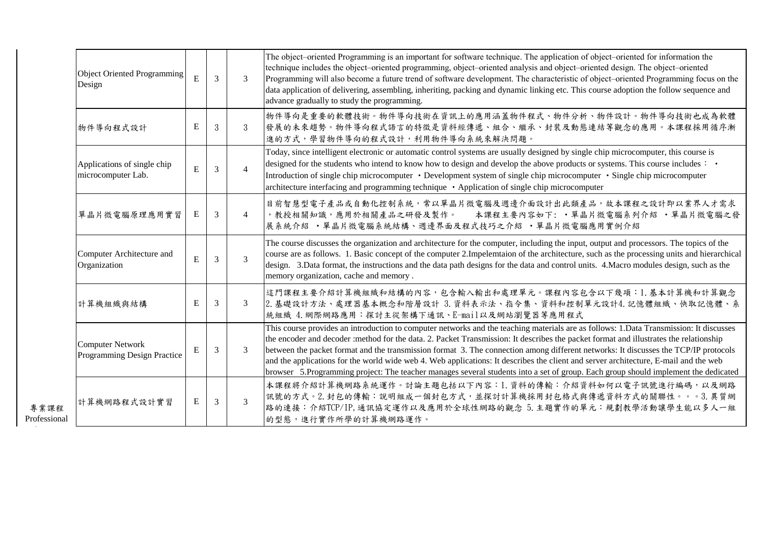|                      | Object Oriented Programming<br>Design                  | E         | $\overline{3}$ | $\mathcal{E}$  | The object–oriented Programming is an important for software technique. The application of object–oriented for information the<br>technique includes the object-oriented programming, object-oriented analysis and object-oriented design. The object-oriented<br>Programming will also become a future trend of software development. The characteristic of object-oriented Programming focus on the<br>data application of delivering, assembling, inheriting, packing and dynamic linking etc. This course adoption the follow sequence and<br>advance gradually to study the programming.                                                                                                         |
|----------------------|--------------------------------------------------------|-----------|----------------|----------------|-------------------------------------------------------------------------------------------------------------------------------------------------------------------------------------------------------------------------------------------------------------------------------------------------------------------------------------------------------------------------------------------------------------------------------------------------------------------------------------------------------------------------------------------------------------------------------------------------------------------------------------------------------------------------------------------------------|
|                      | 物件導向程式設計                                               | ${\bf E}$ | $\mathcal{S}$  | $\mathcal{S}$  | 物件導向是重要的軟體技術。物件導向技術在資訊上的應用涵蓋物件程式、物件分析、物件設計。物件導向技術也成為軟體<br>發展的未來趨勢。物件導向程式語言的特徵是資料經傳遞、組合、繼承、封裝及動態連結等觀念的應用。本課程採用循序漸<br>進的方式,學習物件導向的程式設計,利用物件導向系統來解決問題。                                                                                                                                                                                                                                                                                                                                                                                                                                                                                                                                                   |
|                      | Applications of single chip<br>microcomputer Lab.      | ${\bf E}$ | $\overline{3}$ | $\overline{4}$ | Today, since intelligent electronic or automatic control systems are usually designed by single chip microcomputer, this course is<br>designed for the students who intend to know how to design and develop the above products or systems. This course includes : .<br>Introduction of single chip microcomputer • Development system of single chip microcomputer • Single chip microcomputer<br>architecture interfacing and programming technique • Application of single chip microcomputer                                                                                                                                                                                                      |
|                      | 單晶片微電腦原理應用實習                                           | E         | 3              | 4              | 目前智慧型電子產品或自動化控制系統,常以單晶片微電腦及週邊介面設計出此類產品,故本課程之設計即以業界人才需求<br>, 教授相關知識, 應用於相關產品之研發及製作。<br>本課程主要內容如下: • 單晶片微電腦系列介紹 • 單晶片微電腦之發<br>展系統介紹 · 單晶片微電腦系統結構、週邊界面及程式技巧之介紹 · 單晶片微電腦應用實例介紹                                                                                                                                                                                                                                                                                                                                                                                                                                                                                                                            |
|                      | Computer Architecture and<br>Organization              | E         | $\overline{3}$ | $\overline{3}$ | The course discusses the organization and architecture for the computer, including the input, output and processors. The topics of the<br>course are as follows. 1. Basic concept of the computer 2. Impelemtaion of the architecture, such as the processing units and hierarchical<br>design. 3. Data format, the instructions and the data path designs for the data and control units. 4. Macro modules design, such as the<br>memory organization, cache and memory.                                                                                                                                                                                                                             |
|                      | 計算機組織與結構                                               | ${\bf E}$ | 3              | 3              | 這門課程主要介紹計算機組織和結構的內容,包含輸入輸出和處理單元。課程內容包含以下幾項:1.基本計算機和計算觀念<br>2. 基礎設計方法、處理器基本概念和階層設計 3. 資料表示法、指令集、資料和控制單元設計4. 記憶體組織、快取記憶體、系<br>統組織 4. 網際網路應用:探討主從架構下通訊、E-mail以及網站瀏覽器等應用程式                                                                                                                                                                                                                                                                                                                                                                                                                                                                                                                                |
|                      | <b>Computer Network</b><br>Programming Design Practice | E         | 3              | $\mathcal{F}$  | This course provides an introduction to computer networks and the teaching materials are as follows: 1. Data Transmission: It discusses<br>the encoder and decoder :method for the data. 2. Packet Transmission: It describes the packet format and illustrates the relationship<br>between the packet format and the transmission format 3. The connection among different networks: It discusses the TCP/IP protocols<br>and the applications for the world wide web 4. Web applications: It describes the client and server architecture, E-mail and the web<br>browser 5.Programming project: The teacher manages several students into a set of group. Each group should implement the dedicated |
| 專業課程<br>Professional | 計算機網路程式設計實習                                            | ${\bf E}$ | 3              | 3              | 本課程將介紹計算機網路系統運作。討論主題包括以下內容:1.資料的傳輸:介紹資料如何以電子訊號進行編碼,以及網路<br>訊號的方式。2. 封包的傳輸:說明組成一個封包方式,並探討計算機採用封包格式與傳遞資料方式的關聯性。。。3. 異質網<br>路的連接:介紹TCP/IP,通訊協定運作以及應用於全球性網路的觀念 5. 主題實作的單元:規劃教學活動讓學生能以多人一組<br>的型態,進行實作所學的計算機網路運作。                                                                                                                                                                                                                                                                                                                                                                                                                                                                                          |

Courses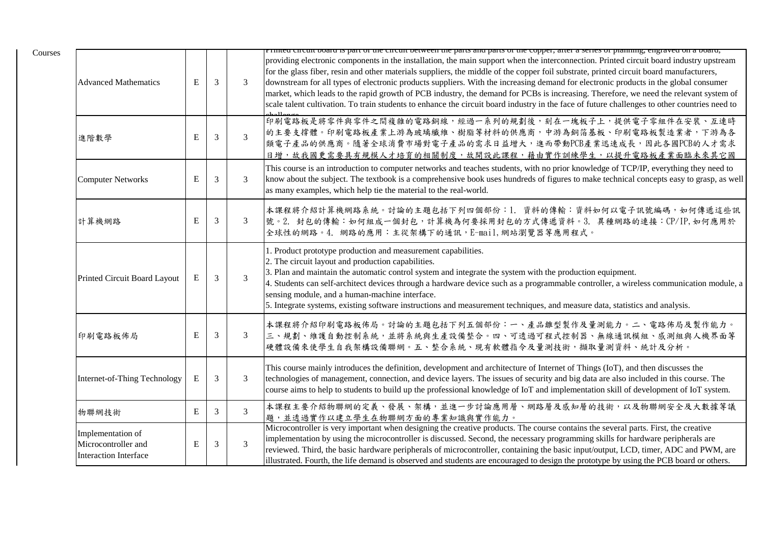| <b>Advanced Mathematics</b>                                              | ${\bf E}$   | 3              | 3              | i rimea encun ooara is part or uic encun octween uic parts ana parts or uic copper, anci-a series or pianning, engravea on a ooara,<br>providing electronic components in the installation, the main support when the interconnection. Printed circuit board industry upstream<br>for the glass fiber, resin and other materials suppliers, the middle of the copper foil substrate, printed circuit board manufacturers,<br>downstream for all types of electronic products suppliers. With the increasing demand for electronic products in the global consumer<br>market, which leads to the rapid growth of PCB industry, the demand for PCBs is increasing. Therefore, we need the relevant system of<br>scale talent cultivation. To train students to enhance the circuit board industry in the face of future challenges to other countries need to |
|--------------------------------------------------------------------------|-------------|----------------|----------------|-------------------------------------------------------------------------------------------------------------------------------------------------------------------------------------------------------------------------------------------------------------------------------------------------------------------------------------------------------------------------------------------------------------------------------------------------------------------------------------------------------------------------------------------------------------------------------------------------------------------------------------------------------------------------------------------------------------------------------------------------------------------------------------------------------------------------------------------------------------|
| 進階數學                                                                     | E           | 3              | $\overline{3}$ | 印刷電路板是將零件與零件之間複雜的電路銅線,經過一系列的規劃後,刻在一塊板子上,提供電子零組件在安裝、互連時<br>的主要支撑體。印刷電路板產業上游為玻璃纖維、樹脂等材料的供應商,中游為銅箔基板、印刷電路板製造業者,下游為各<br>類電子產品的供應商。隨著全球消費市場對電子產品的需求日益增大,進而帶動PCB產業迅速成長,因此各國PCB的人才需求<br>日增,故我國更需要具有規模人才培育的相關制度,故開設此課程,藉由實作訓練學生,以提升電路板產業面臨未來其它國                                                                                                                                                                                                                                                                                                                                                                                                                                                                                                                                                                                                                     |
| <b>Computer Networks</b>                                                 | ${\bf E}$   | 3              | 3              | This course is an introduction to computer networks and teaches students, with no prior knowledge of TCP/IP, everything they need to<br>know about the subject. The textbook is a comprehensive book uses hundreds of figures to make technical concepts easy to grasp, as well<br>as many examples, which help tie the material to the real-world.                                                                                                                                                                                                                                                                                                                                                                                                                                                                                                         |
| 計算機網路                                                                    | ${\bf E}$   | 3              | 3              | 本課程將介紹計算機網路系統。討論的主題包括下列四個部份:1. 資料的傳輸:資料如何以電子訊號編碼,如何傳遞這些訊<br>號。2. 封包的傳輸:如何組成一個封包,計算機為何要採用封包的方式傳遞資料。3. 異種網路的連接:CP/IP,如何應用於<br>全球性的網路。4. 網路的應用:主從架構下的通訊,E-mail,網站瀏覽器等應用程式。                                                                                                                                                                                                                                                                                                                                                                                                                                                                                                                                                                                                                                                                                     |
| Printed Circuit Board Layout                                             | $\mathbf E$ | $\mathfrak{Z}$ | $\mathfrak{Z}$ | 1. Product prototype production and measurement capabilities.<br>2. The circuit layout and production capabilities.<br>3. Plan and maintain the automatic control system and integrate the system with the production equipment.<br>4. Students can self-architect devices through a hardware device such as a programmable controller, a wireless communication module, a<br>sensing module, and a human-machine interface.<br>5. Integrate systems, existing software instructions and measurement techniques, and measure data, statistics and analysis.                                                                                                                                                                                                                                                                                                 |
| 印刷電路板佈局                                                                  | E           | 3              | 3              | 本課程將介紹印刷電路板佈局。討論的主題包括下列五個部份:一、產品雛型製作及量測能力。二、電路佈局及製作能力。<br>三、規劃、維護自動控制系統,並將系統與生產設備整合。四、可透過可程式控制器、無線通訊模組、感測組與人機界面等<br>硬體設備來使學生自我架構設備聯網。五、整合系統、現有軟體指令及量測技術,擷取量測資料、統計及分析。                                                                                                                                                                                                                                                                                                                                                                                                                                                                                                                                                                                                                                                                                       |
| Internet-of-Thing Technology                                             | E           | $\mathfrak{Z}$ | 3              | This course mainly introduces the definition, development and architecture of Internet of Things (IoT), and then discusses the<br>technologies of management, connection, and device layers. The issues of security and big data are also included in this course. The<br>course aims to help to students to build up the professional knowledge of IoT and implementation skill of development of IoT system.                                                                                                                                                                                                                                                                                                                                                                                                                                              |
| 物聯網技術                                                                    | $\mathbf E$ | 3              | $\overline{3}$ | 本課程主要介紹物聯網的定義、發展、架構,並進一步討論應用層、網路層及感知層的技術,以及物聯網安全及大數據等議<br>題,並透過實作以建立學生在物聯網方面的專業知識與實作能力。                                                                                                                                                                                                                                                                                                                                                                                                                                                                                                                                                                                                                                                                                                                                                                     |
| Implementation of<br>Microcontroller and<br><b>Interaction Interface</b> | ${\bf E}$   | 3              | $\overline{3}$ | Microcontroller is very important when designing the creative products. The course contains the several parts. First, the creative<br>implementation by using the microcontroller is discussed. Second, the necessary programming skills for hardware peripherals are<br>reviewed. Third, the basic hardware peripherals of microcontroller, containing the basic input/output, LCD, timer, ADC and PWM, are<br>illustrated. Fourth, the life demand is observed and students are encouraged to design the prototype by using the PCB board or others.                                                                                                                                                                                                                                                                                                      |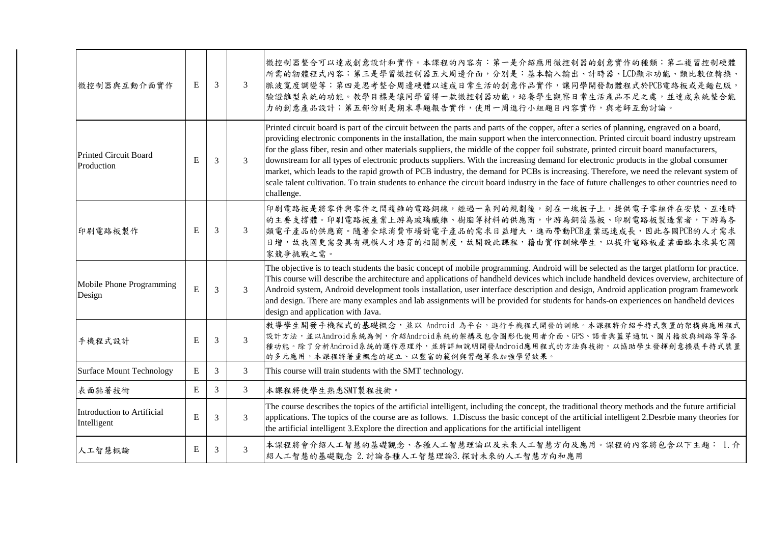| 微控制器與互動介面實作                                | E           | 3              | 3             | 微控制器整合可以達成創意設計和實作。本課程的內容有︰第一是介紹應用微控制器的創意實作的種類;第二複習控制硬體<br>所需的韌體程式內容;第三是學習微控制器五大周邊介面,分別是:基本輸入輸出、計時器、LCD顯示功能、類比數位轉換、<br>脈波寬度調變等;第四是思考整合周邊硬體以達成日常生活的創意作品實作,讓同學開發韌體程式於PCB電路板或是麵包版,<br> 驗證離型系統的功能。教學目標是讓同學習得一款微控制器功能,培養學生觀察日常生活產品不足之處,並達成系統整合能<br>力的創意產品設計;第五部份則是期末專題報告實作,使用一周進行小組題目內容實作,與老師互動討論。                                                                                                                                                                                                                                                                                                                                                                                                                                                                                                                                                                                   |
|--------------------------------------------|-------------|----------------|---------------|--------------------------------------------------------------------------------------------------------------------------------------------------------------------------------------------------------------------------------------------------------------------------------------------------------------------------------------------------------------------------------------------------------------------------------------------------------------------------------------------------------------------------------------------------------------------------------------------------------------------------------------------------------------------------------------------------------------------------------------------------------------------------------------------------------------------------------------------------------------------------------|
| <b>Printed Circuit Board</b><br>Production | E           | 3              | 3             | Printed circuit board is part of the circuit between the parts and parts of the copper, after a series of planning, engraved on a board,<br>providing electronic components in the installation, the main support when the interconnection. Printed circuit board industry upstream<br>for the glass fiber, resin and other materials suppliers, the middle of the copper foil substrate, printed circuit board manufacturers,<br>downstream for all types of electronic products suppliers. With the increasing demand for electronic products in the global consumer<br>market, which leads to the rapid growth of PCB industry, the demand for PCBs is increasing. Therefore, we need the relevant system of<br>scale talent cultivation. To train students to enhance the circuit board industry in the face of future challenges to other countries need to<br>challenge. |
| 印刷電路板製作                                    | E           | 3              | 3             | 印刷電路板是將零件與零件之間複雜的電路銅線,經過一系列的規劃後,刻在一塊板子上,提供電子零組件在安裝、互連時<br>的主要支撑體。印刷電路板產業上游為玻璃纖維、樹脂等材料的供應商,中游為銅箔基板、印刷電路板製造業者,下游為各<br>類電子產品的供應商。隨著全球消費市場對電子產品的需求日益增大,進而帶動PCB產業迅速成長,因此各國PCB的人才需求<br>日增,故我國更需要具有規模人才培育的相關制度,故開設此課程,藉由實作訓練學生,以提升電路板產業面臨未來其它國<br>家競爭挑戰之需。                                                                                                                                                                                                                                                                                                                                                                                                                                                                                                                                                                                                                            |
| Mobile Phone Programming<br>Design         | E           | 3              | 3             | The objective is to teach students the basic concept of mobile programming. Android will be selected as the target platform for practice.<br>This course will describe the architecture and applications of handheld devices which include handheld devices overview, architecture of<br>Android system, Android development tools installation, user interface description and design, Android application program framework<br>and design. There are many examples and lab assignments will be provided for students for hands-on experiences on handheld devices<br>design and application with Java.                                                                                                                                                                                                                                                                       |
| 手機程式設計                                     | E           | 3              | $\mathcal{F}$ | 教導學生開發手機程式的基礎概念,並以 Android 為平台,進行手機程式開發的訓練。本課程將介紹手持式裝置的架構與應用程式<br>設計方法,並以Android系統為例,介紹Android系統的架構及包含圖形化使用者介面、GPS、語音與藍芽通訊、圖片播放與網路等等各<br>種功能。除了分析Android系統的運作原理外,並將詳細說明開發Android應用程式的方法與技術,以協助學生發揮創意擴展手持式裝置<br>的多元應用,本課程將著重概念的建立、以豐富的範例與習題等來加強學習效果。                                                                                                                                                                                                                                                                                                                                                                                                                                                                                                                                                                                                                            |
| <b>Surface Mount Technology</b>            | $\mathbf E$ | $\mathfrak{Z}$ | 3             | This course will train students with the SMT technology.                                                                                                                                                                                                                                                                                                                                                                                                                                                                                                                                                                                                                                                                                                                                                                                                                       |
| 表面黏著技術                                     | E           | $\mathfrak{Z}$ | 3             | 本課程將使學生熟悉SMT製程技術。                                                                                                                                                                                                                                                                                                                                                                                                                                                                                                                                                                                                                                                                                                                                                                                                                                                              |
| Introduction to Artificial<br>Intelligent  | E           | 3              | 3             | The course describes the topics of the artificial intelligent, including the concept, the traditional theory methods and the future artificial<br>applications. The topics of the course are as follows. 1. Discuss the basic concept of the artificial intelligent 2. Desrbie many theories for<br>the artificial intelligent 3. Explore the direction and applications for the artificial intelligent                                                                                                                                                                                                                                                                                                                                                                                                                                                                        |
| 人工智慧概論                                     | E           | 3              | 3             | 本課程將會介紹人工智慧的基礎觀念、各種人工智慧理論以及未來人工智慧方向及應用。課程的內容將包含以下主題: 1. 介<br>紹人工智慧的基礎觀念 2. 討論各種人工智慧理論3. 探討未來的人工智慧方向和應用                                                                                                                                                                                                                                                                                                                                                                                                                                                                                                                                                                                                                                                                                                                                                                         |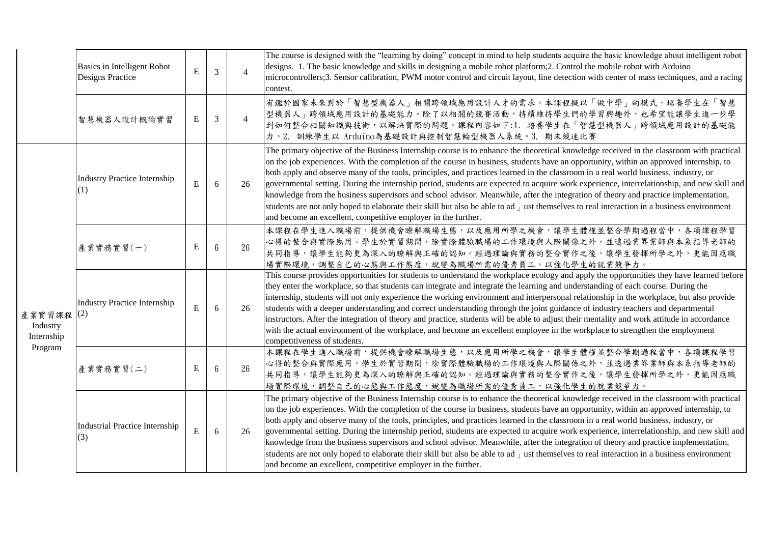|                                                 | <b>Basics in Intelligent Robot</b><br><b>Designs Practice</b> | $\bf E$   | $\overline{3}$ | $\overline{4}$ | The course is designed with the "learning by doing" concept in mind to help students acquire the basic knowledge about intelligent robot<br>designs. 1. The basic knowledge and skills in designing a mobile robot platform;2. Control the mobile robot with Arduino<br>microcontrollers;3. Sensor calibration, PWM motor control and circuit layout, line detection with center of mass techniques, and a racing<br>contest.                                                                                                                                                                                                                                                                                                                                                                                                                                                                                                     |
|-------------------------------------------------|---------------------------------------------------------------|-----------|----------------|----------------|-----------------------------------------------------------------------------------------------------------------------------------------------------------------------------------------------------------------------------------------------------------------------------------------------------------------------------------------------------------------------------------------------------------------------------------------------------------------------------------------------------------------------------------------------------------------------------------------------------------------------------------------------------------------------------------------------------------------------------------------------------------------------------------------------------------------------------------------------------------------------------------------------------------------------------------|
|                                                 | 智慧機器人設計概論實習                                                   | Е         | 3              | $\overline{4}$ | 有鑑於國家未來對於「智慧型機器人」相關跨領域應用設計人才的需求,本課程擬以「做中學」的模式,培養學生在「智慧<br>型機器人」跨領域應用設計的基礎能力。除了以相關的競賽活動,持續維持學生們的學習興趣外,也希望能讓學生進一步學<br>到如何整合相關知識與技術,以解決實際的問題。課程內容如下:1. 培養學生在「智慧型機器人」跨領域應用設計的基礎能<br>力。2. 訓練學生以 Arduino為基礎設計與控制智慧輪型機器人系統。3. 期末競速比賽                                                                                                                                                                                                                                                                                                                                                                                                                                                                                                                                                                                                                                                                                                     |
|                                                 | <b>Industry Practice Internship</b><br>(1)                    | ${\bf E}$ | 6              | 26             | The primary objective of the Business Internship course is to enhance the theoretical knowledge received in the classroom with practical<br>on the job experiences. With the completion of the course in business, students have an opportunity, within an approved internship, to<br>both apply and observe many of the tools, principles, and practices learned in the classroom in a real world business, industry, or<br>governmental setting. During the internship period, students are expected to acquire work experience, interrelationship, and new skill and<br>knowledge from the business supervisors and school advisor. Meanwhile, after the integration of theory and practice implementation,<br>students are not only hoped to elaborate their skill but also be able to ad $\mu$ ust themselves to real interaction in a business environment<br>and become an excellent, competitive employer in the further. |
|                                                 | 產業實務實習(一)                                                     | E         | $6\,$          | 26             | 本課程在學生進入職場前,提供機會瞭解職場生態,以及應用所學之機會,讓學生體槿並整合學期過程當中,各項課程學習<br>心得的整合與實際應用。學生於實習期間,除實際體驗職場的工作環境與人際關係之外,並透過業界業師與本系指導老師的<br>共同指導,讓學生能夠更為深入的瞭解與正確的認知。經過理論與實務的整合實作之後,讓學生發揮所學之外,更能因應職<br>場實際環境,調整自己的心態與工作態度,蛻變為職場所需的優秀員工,以強化學生的就業競爭力。                                                                                                                                                                                                                                                                                                                                                                                                                                                                                                                                                                                                                                                                                                        |
| 產業實習課程 (2)<br>Industry<br>Internship<br>Program | <b>Industry Practice Internship</b>                           | ${\bf E}$ | 6              | 26             | This course provides opportunities for students to understand the workplace ecology and apply the opportunities they have learned before<br>they enter the workplace, so that students can integrate and integrate the learning and understanding of each course. During the<br>internship, students will not only experience the working environment and interpersonal relationship in the workplace, but also provide<br>students with a deeper understanding and correct understanding through the joint guidance of industry teachers and departmental<br>instructors. After the integration of theory and practice, students will be able to adjust their mentality and work attitude in accordance<br>with the actual environment of the workplace, and become an excellent employee in the workplace to strengthen the employment<br>competitiveness of students.                                                          |
|                                                 | 產業實務實習(二)                                                     | E         | $6\phantom{1}$ | 26             | 本課程在學生進入職場前,提供機會瞭解職場生態,以及應用所學之機會,讓學生體槿並整合學期過程當中,各項課程學習<br>心得的整合與實際應用。學生於實習期間,除實際體驗職場的工作環境與人際關係之外,並透過業界業師與本系指導老師的<br><b>共同指導,讓學生能夠更為深入的瞭解與正確的認知。經過理論與實務的整合實作之後,讓學生發揮所學之外,更能因應職</b><br> 場實際環境,調整自己的心態與工作態度,蛻變為職場所需的優秀員工,以強化學生的就業競爭力。                                                                                                                                                                                                                                                                                                                                                                                                                                                                                                                                                                                                                                                                                                |
|                                                 | <b>Industrial Practice Internship</b><br>(3)                  | ${\bf E}$ | 6              | 26             | The primary objective of the Business Internship course is to enhance the theoretical knowledge received in the classroom with practical<br>on the job experiences. With the completion of the course in business, students have an opportunity, within an approved internship, to<br>both apply and observe many of the tools, principles, and practices learned in the classroom in a real world business, industry, or<br>governmental setting. During the internship period, students are expected to acquire work experience, interrelationship, and new skill and<br>knowledge from the business supervisors and school advisor. Meanwhile, after the integration of theory and practice implementation,<br>students are not only hoped to elaborate their skill but also be able to ad $\mu$ ust themselves to real interaction in a business environment<br>and become an excellent, competitive employer in the further. |